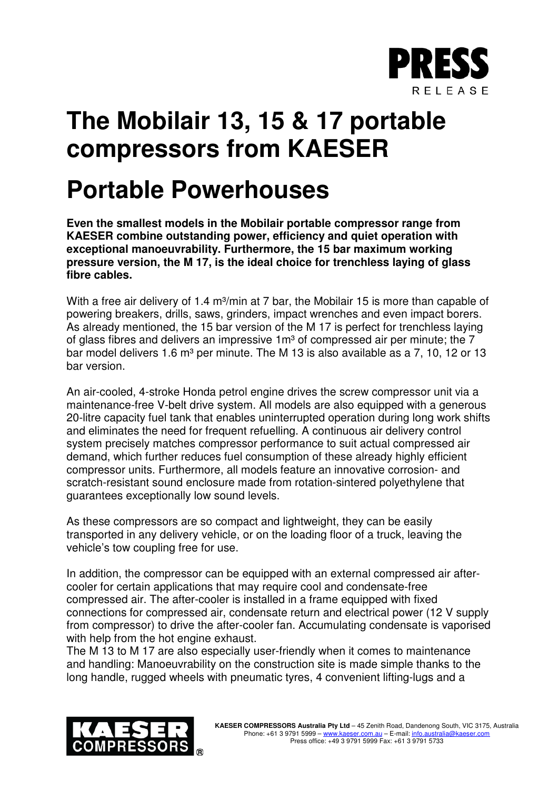

## **The Mobilair 13, 15 & 17 portable compressors from KAESER**

## **Portable Powerhouses**

**Even the smallest models in the Mobilair portable compressor range from KAESER combine outstanding power, efficiency and quiet operation with exceptional manoeuvrability. Furthermore, the 15 bar maximum working pressure version, the M 17, is the ideal choice for trenchless laying of glass fibre cables.**

With a free air delivery of 1.4 m<sup>3</sup>/min at 7 bar, the Mobilair 15 is more than capable of powering breakers, drills, saws, grinders, impact wrenches and even impact borers. As already mentioned, the 15 bar version of the M 17 is perfect for trenchless laying of glass fibres and delivers an impressive  $1m<sup>3</sup>$  of compressed air per minute; the 7 bar model delivers 1.6 m<sup>3</sup> per minute. The M 13 is also available as a 7, 10, 12 or 13 bar version.

An air-cooled, 4-stroke Honda petrol engine drives the screw compressor unit via a maintenance-free V-belt drive system. All models are also equipped with a generous 20-litre capacity fuel tank that enables uninterrupted operation during long work shifts and eliminates the need for frequent refuelling. A continuous air delivery control system precisely matches compressor performance to suit actual compressed air demand, which further reduces fuel consumption of these already highly efficient compressor units. Furthermore, all models feature an innovative corrosion- and scratch-resistant sound enclosure made from rotation-sintered polyethylene that guarantees exceptionally low sound levels.

As these compressors are so compact and lightweight, they can be easily transported in any delivery vehicle, or on the loading floor of a truck, leaving the vehicle's tow coupling free for use.

In addition, the compressor can be equipped with an external compressed air aftercooler for certain applications that may require cool and condensate-free compressed air. The after-cooler is installed in a frame equipped with fixed connections for compressed air, condensate return and electrical power (12 V supply from compressor) to drive the after-cooler fan. Accumulating condensate is vaporised with help from the hot engine exhaust.

The M 13 to M 17 are also especially user-friendly when it comes to maintenance and handling: Manoeuvrability on the construction site is made simple thanks to the long handle, rugged wheels with pneumatic tyres, 4 convenient lifting-lugs and a

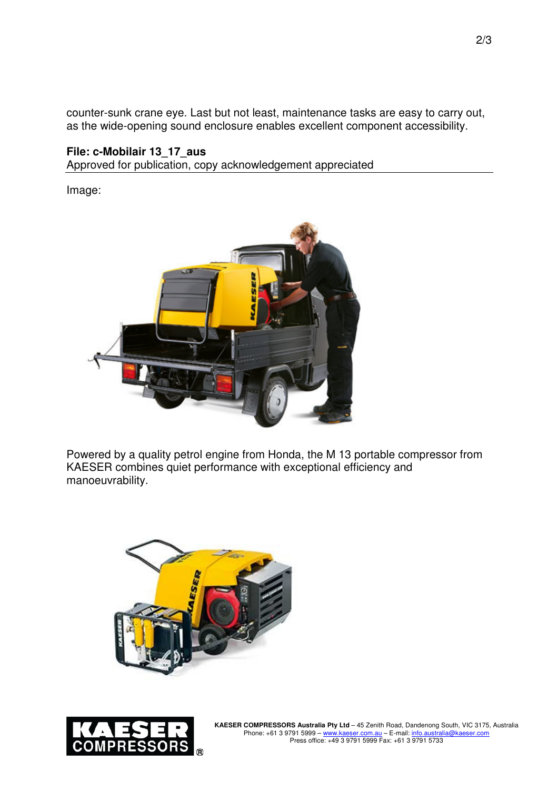counter-sunk crane eye. Last but not least, maintenance tasks are easy to carry out, as the wide-opening sound enclosure enables excellent component accessibility.

## **File: c-Mobilair 13\_17\_aus**

Approved for publication, copy acknowledgement appreciated

Image:



Powered by a quality petrol engine from Honda, the M 13 portable compressor from KAESER combines quiet performance with exceptional efficiency and manoeuvrability.